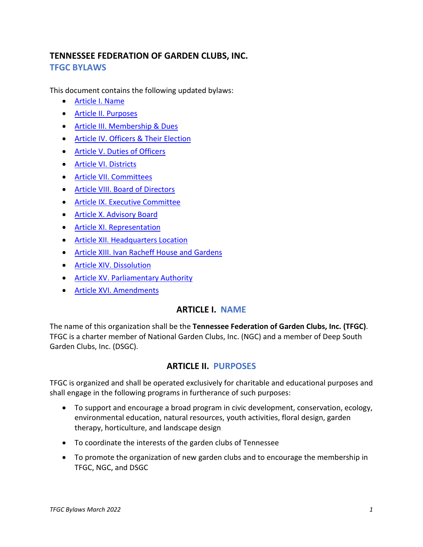# **TENNESSEE FEDERATION OF GARDEN CLUBS, INC. TFGC BYLAWS**

This document contains the following updated bylaws:

- [Article I. Name](#page-0-0)
- [Article II. Purposes](#page-0-1)
- [Article III. Membership & Dues](#page-1-0)
- [Article IV. Officers & Their Election](#page-3-0)
- [Article V. Duties of Officers](#page-4-0)
- [Article VI. Districts](#page-6-0)
- [Article VII. Committees](#page-8-0)
- [Article VIII. Board of Directors](#page-8-1)
- [Article IX. Executive Committee](#page-9-0)
- [Article X. Advisory Board](#page-9-1)
- [Article XI. Representation](#page-9-2)
- [Article XII. Headquarters Location](#page-11-0)
- [Article XIII. Ivan Racheff House and Gardens](#page-11-1)
- [Article XIV. Dissolution](#page-11-2)
- [Article XV. Parliamentary Authority](#page-11-3)
- <span id="page-0-0"></span>• [Article XVI. Amendments](#page-12-0)

## **ARTICLE I. NAME**

The name of this organization shall be the **Tennessee Federation of Garden Clubs, Inc. (TFGC)**. TFGC is a charter member of National Garden Clubs, Inc. (NGC) and a member of Deep South Garden Clubs, Inc. (DSGC).

# **ARTICLE II. PURPOSES**

<span id="page-0-1"></span>TFGC is organized and shall be operated exclusively for charitable and educational purposes and shall engage in the following programs in furtherance of such purposes:

- To support and encourage a broad program in civic development, conservation, ecology, environmental education, natural resources, youth activities, floral design, garden therapy, horticulture, and landscape design
- To coordinate the interests of the garden clubs of Tennessee
- To promote the organization of new garden clubs and to encourage the membership in TFGC, NGC, and DSGC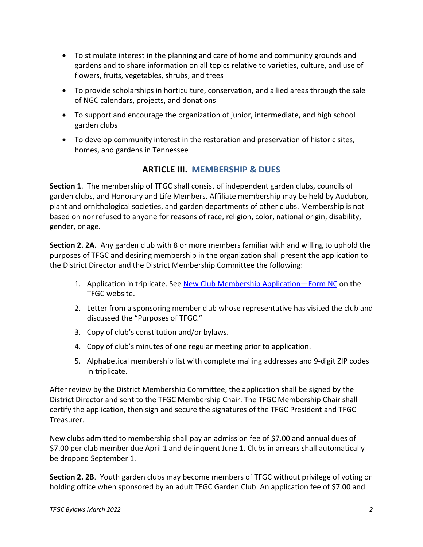- To stimulate interest in the planning and care of home and community grounds and gardens and to share information on all topics relative to varieties, culture, and use of flowers, fruits, vegetables, shrubs, and trees
- To provide scholarships in horticulture, conservation, and allied areas through the sale of NGC calendars, projects, and donations
- To support and encourage the organization of junior, intermediate, and high school garden clubs
- <span id="page-1-0"></span>• To develop community interest in the restoration and preservation of historic sites, homes, and gardens in Tennessee

# **ARTICLE III. MEMBERSHIP & DUES**

**Section 1**. The membership of TFGC shall consist of independent garden clubs, councils of garden clubs, and Honorary and Life Members. Affiliate membership may be held by Audubon, plant and ornithological societies, and garden departments of other clubs. Membership is not based on nor refused to anyone for reasons of race, religion, color, national origin, disability, gender, or age.

**Section 2. 2A.** Any garden club with 8 or more members familiar with and willing to uphold the purposes of TFGC and desiring membership in the organization shall present the application to the District Director and the District Membership Committee the following:

- 1. Application in triplicate. See New Club Membership Application-Form NC on the TFGC website.
- 2. Letter from a sponsoring member club whose representative has visited the club and discussed the "Purposes of TFGC."
- 3. Copy of club's constitution and/or bylaws.
- 4. Copy of club's minutes of one regular meeting prior to application.
- 5. Alphabetical membership list with complete mailing addresses and 9-digit ZIP codes in triplicate.

After review by the District Membership Committee, the application shall be signed by the District Director and sent to the TFGC Membership Chair. The TFGC Membership Chair shall certify the application, then sign and secure the signatures of the TFGC President and TFGC Treasurer.

New clubs admitted to membership shall pay an admission fee of \$7.00 and annual dues of \$7.00 per club member due April 1 and delinquent June 1. Clubs in arrears shall automatically be dropped September 1.

**Section 2. 2B**. Youth garden clubs may become members of TFGC without privilege of voting or holding office when sponsored by an adult TFGC Garden Club. An application fee of \$7.00 and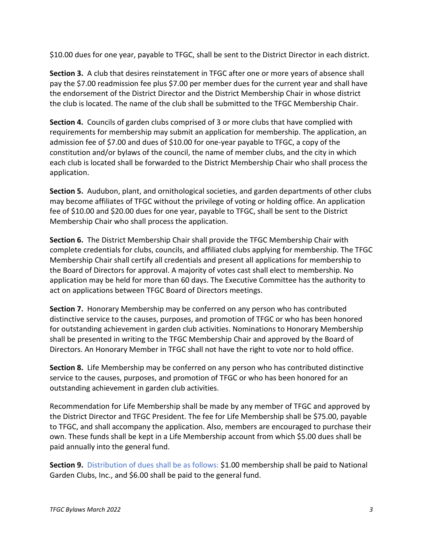\$10.00 dues for one year, payable to TFGC, shall be sent to the District Director in each district.

**Section 3.** A club that desires reinstatement in TFGC after one or more years of absence shall pay the \$7.00 readmission fee plus \$7.00 per member dues for the current year and shall have the endorsement of the District Director and the District Membership Chair in whose district the club is located. The name of the club shall be submitted to the TFGC Membership Chair.

**Section 4.** Councils of garden clubs comprised of 3 or more clubs that have complied with requirements for membership may submit an application for membership. The application, an admission fee of \$7.00 and dues of \$10.00 for one-year payable to TFGC, a copy of the constitution and/or bylaws of the council, the name of member clubs, and the city in which each club is located shall be forwarded to the District Membership Chair who shall process the application.

**Section 5.** Audubon, plant, and ornithological societies, and garden departments of other clubs may become affiliates of TFGC without the privilege of voting or holding office. An application fee of \$10.00 and \$20.00 dues for one year, payable to TFGC, shall be sent to the District Membership Chair who shall process the application.

**Section 6.** The District Membership Chair shall provide the TFGC Membership Chair with complete credentials for clubs, councils, and affiliated clubs applying for membership. The TFGC Membership Chair shall certify all credentials and present all applications for membership to the Board of Directors for approval. A majority of votes cast shall elect to membership. No application may be held for more than 60 days. The Executive Committee has the authority to act on applications between TFGC Board of Directors meetings.

**Section 7.** Honorary Membership may be conferred on any person who has contributed distinctive service to the causes, purposes, and promotion of TFGC or who has been honored for outstanding achievement in garden club activities. Nominations to Honorary Membership shall be presented in writing to the TFGC Membership Chair and approved by the Board of Directors. An Honorary Member in TFGC shall not have the right to vote nor to hold office.

**Section 8.** Life Membership may be conferred on any person who has contributed distinctive service to the causes, purposes, and promotion of TFGC or who has been honored for an outstanding achievement in garden club activities.

Recommendation for Life Membership shall be made by any member of TFGC and approved by the District Director and TFGC President. The fee for Life Membership shall be \$75.00, payable to TFGC, and shall accompany the application. Also, members are encouraged to purchase their own. These funds shall be kept in a Life Membership account from which \$5.00 dues shall be paid annually into the general fund.

**Section 9.** Distribution of dues shall be as follows: \$1.00 membership shall be paid to National Garden Clubs, Inc., and \$6.00 shall be paid to the general fund.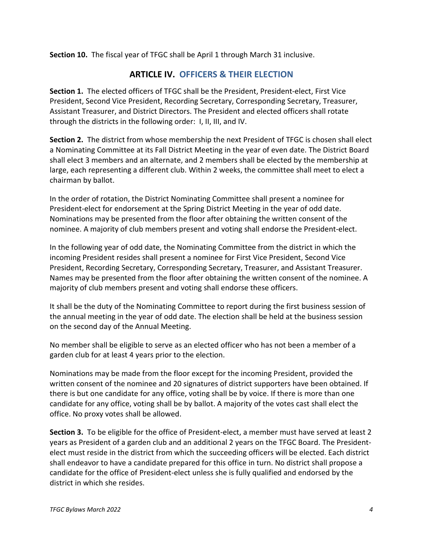<span id="page-3-0"></span>**Section 10.** The fiscal year of TFGC shall be April 1 through March 31 inclusive.

## **ARTICLE IV. OFFICERS & THEIR ELECTION**

**Section 1.** The elected officers of TFGC shall be the President, President-elect, First Vice President, Second Vice President, Recording Secretary, Corresponding Secretary, Treasurer, Assistant Treasurer, and District Directors. The President and elected officers shall rotate through the districts in the following order: I, II, III, and IV.

**Section 2.** The district from whose membership the next President of TFGC is chosen shall elect a Nominating Committee at its Fall District Meeting in the year of even date. The District Board shall elect 3 members and an alternate, and 2 members shall be elected by the membership at large, each representing a different club. Within 2 weeks, the committee shall meet to elect a chairman by ballot.

In the order of rotation, the District Nominating Committee shall present a nominee for President-elect for endorsement at the Spring District Meeting in the year of odd date. Nominations may be presented from the floor after obtaining the written consent of the nominee. A majority of club members present and voting shall endorse the President-elect.

In the following year of odd date, the Nominating Committee from the district in which the incoming President resides shall present a nominee for First Vice President, Second Vice President, Recording Secretary, Corresponding Secretary, Treasurer, and Assistant Treasurer. Names may be presented from the floor after obtaining the written consent of the nominee. A majority of club members present and voting shall endorse these officers.

It shall be the duty of the Nominating Committee to report during the first business session of the annual meeting in the year of odd date. The election shall be held at the business session on the second day of the Annual Meeting.

No member shall be eligible to serve as an elected officer who has not been a member of a garden club for at least 4 years prior to the election.

Nominations may be made from the floor except for the incoming President, provided the written consent of the nominee and 20 signatures of district supporters have been obtained. If there is but one candidate for any office, voting shall be by voice. If there is more than one candidate for any office, voting shall be by ballot. A majority of the votes cast shall elect the office. No proxy votes shall be allowed.

**Section 3.** To be eligible for the office of President-elect, a member must have served at least 2 years as President of a garden club and an additional 2 years on the TFGC Board. The Presidentelect must reside in the district from which the succeeding officers will be elected. Each district shall endeavor to have a candidate prepared for this office in turn. No district shall propose a candidate for the office of President-elect unless she is fully qualified and endorsed by the district in which she resides.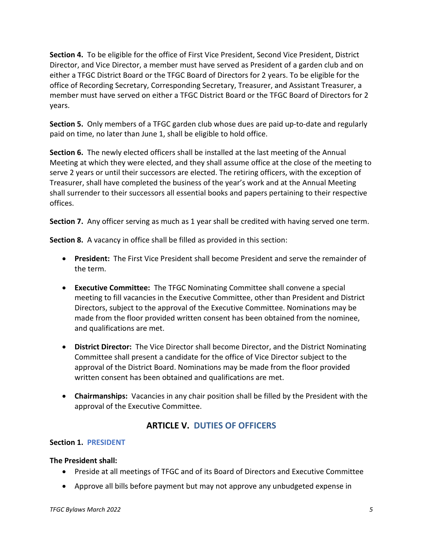**Section 4.** To be eligible for the office of First Vice President, Second Vice President, District Director, and Vice Director, a member must have served as President of a garden club and on either a TFGC District Board or the TFGC Board of Directors for 2 years. To be eligible for the office of Recording Secretary, Corresponding Secretary, Treasurer, and Assistant Treasurer, a member must have served on either a TFGC District Board or the TFGC Board of Directors for 2 years.

**Section 5.** Only members of a TFGC garden club whose dues are paid up-to-date and regularly paid on time, no later than June 1, shall be eligible to hold office.

**Section 6.** The newly elected officers shall be installed at the last meeting of the Annual Meeting at which they were elected, and they shall assume office at the close of the meeting to serve 2 years or until their successors are elected. The retiring officers, with the exception of Treasurer, shall have completed the business of the year's work and at the Annual Meeting shall surrender to their successors all essential books and papers pertaining to their respective offices.

**Section 7.** Any officer serving as much as 1 year shall be credited with having served one term.

**Section 8.** A vacancy in office shall be filled as provided in this section:

- **President:** The First Vice President shall become President and serve the remainder of the term.
- **Executive Committee:** The TFGC Nominating Committee shall convene a special meeting to fill vacancies in the Executive Committee, other than President and District Directors, subject to the approval of the Executive Committee. Nominations may be made from the floor provided written consent has been obtained from the nominee, and qualifications are met.
- **District Director:** The Vice Director shall become Director, and the District Nominating Committee shall present a candidate for the office of Vice Director subject to the approval of the District Board. Nominations may be made from the floor provided written consent has been obtained and qualifications are met.
- **Chairmanships:** Vacancies in any chair position shall be filled by the President with the approval of the Executive Committee.

# **ARTICLE V. DUTIES OF OFFICERS**

## <span id="page-4-0"></span>**Section 1. PRESIDENT**

## **The President shall:**

- Preside at all meetings of TFGC and of its Board of Directors and Executive Committee
- Approve all bills before payment but may not approve any unbudgeted expense in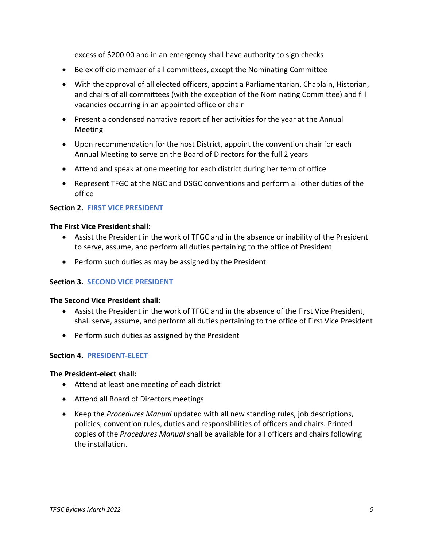excess of \$200.00 and in an emergency shall have authority to sign checks

- Be ex officio member of all committees, except the Nominating Committee
- With the approval of all elected officers, appoint a Parliamentarian, Chaplain, Historian, and chairs of all committees (with the exception of the Nominating Committee) and fill vacancies occurring in an appointed office or chair
- Present a condensed narrative report of her activities for the year at the Annual Meeting
- Upon recommendation for the host District, appoint the convention chair for each Annual Meeting to serve on the Board of Directors for the full 2 years
- Attend and speak at one meeting for each district during her term of office
- Represent TFGC at the NGC and DSGC conventions and perform all other duties of the office

### **Section 2. FIRST VICE PRESIDENT**

#### **The First Vice President shall:**

- Assist the President in the work of TFGC and in the absence or inability of the President to serve, assume, and perform all duties pertaining to the office of President
- Perform such duties as may be assigned by the President

### **Section 3. SECOND VICE PRESIDENT**

#### **The Second Vice President shall:**

- Assist the President in the work of TFGC and in the absence of the First Vice President, shall serve, assume, and perform all duties pertaining to the office of First Vice President
- Perform such duties as assigned by the President

### **Section 4. PRESIDENT-ELECT**

#### **The President-elect shall:**

- Attend at least one meeting of each district
- Attend all Board of Directors meetings
- Keep the *Procedures Manual* updated with all new standing rules, job descriptions, policies, convention rules, duties and responsibilities of officers and chairs. Printed copies of the *Procedures Manual* shall be available for all officers and chairs following the installation.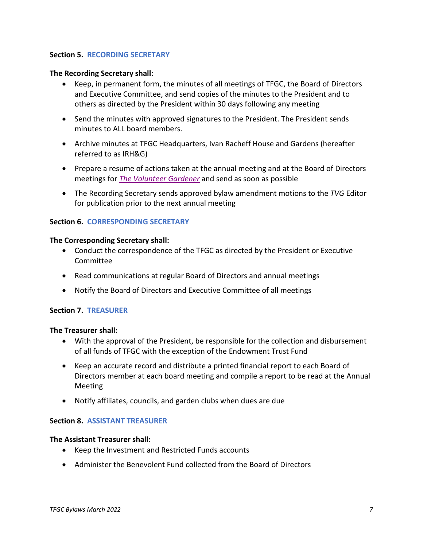### **Section 5. RECORDING SECRETARY**

### **The Recording Secretary shall:**

- Keep, in permanent form, the minutes of all meetings of TFGC, the Board of Directors and Executive Committee, and send copies of the minutes to the President and to others as directed by the President within 30 days following any meeting
- Send the minutes with approved signatures to the President. The President sends minutes to ALL board members.
- Archive minutes at TFGC Headquarters, Ivan Racheff House and Gardens (hereafter referred to as IRH&G)
- Prepare a resume of actions taken at the annual meeting and at the Board of Directors meetings for *[The Volunteer Gardener](https://www.tngardenclubs.org/volunteer-gardener/)* and send as soon as possible
- The Recording Secretary sends approved bylaw amendment motions to the *TVG* Editor for publication prior to the next annual meeting

### **Section 6. CORRESPONDING SECRETARY**

#### **The Corresponding Secretary shall:**

- Conduct the correspondence of the TFGC as directed by the President or Executive **Committee**
- Read communications at regular Board of Directors and annual meetings
- Notify the Board of Directors and Executive Committee of all meetings

#### **Section 7. TREASURER**

#### **The Treasurer shall:**

- With the approval of the President, be responsible for the collection and disbursement of all funds of TFGC with the exception of the Endowment Trust Fund
- Keep an accurate record and distribute a printed financial report to each Board of Directors member at each board meeting and compile a report to be read at the Annual Meeting
- Notify affiliates, councils, and garden clubs when dues are due

### **Section 8. ASSISTANT TREASURER**

#### **The Assistant Treasurer shall:**

- Keep the Investment and Restricted Funds accounts
- <span id="page-6-0"></span>• Administer the Benevolent Fund collected from the Board of Directors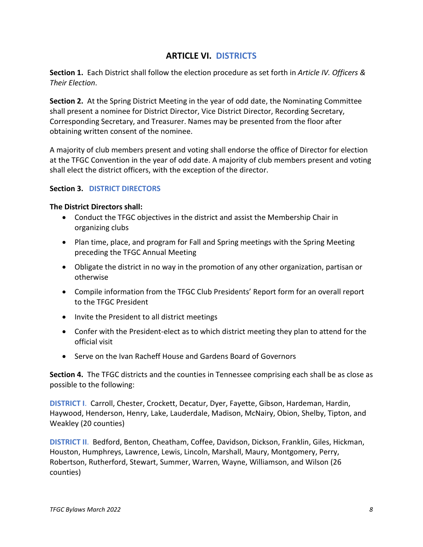## **ARTICLE VI. DISTRICTS**

**Section 1.** Each District shall follow the election procedure as set forth in *Article IV. Officers & Their Election*.

**Section 2.** At the Spring District Meeting in the year of odd date, the Nominating Committee shall present a nominee for District Director, Vice District Director, Recording Secretary, Corresponding Secretary, and Treasurer. Names may be presented from the floor after obtaining written consent of the nominee.

A majority of club members present and voting shall endorse the office of Director for election at the TFGC Convention in the year of odd date. A majority of club members present and voting shall elect the district officers, with the exception of the director.

## **Section 3. DISTRICT DIRECTORS**

### **The District Directors shall:**

- Conduct the TFGC objectives in the district and assist the Membership Chair in organizing clubs
- Plan time, place, and program for Fall and Spring meetings with the Spring Meeting preceding the TFGC Annual Meeting
- Obligate the district in no way in the promotion of any other organization, partisan or otherwise
- Compile information from the TFGC Club Presidents' Report form for an overall report to the TFGC President
- Invite the President to all district meetings
- Confer with the President-elect as to which district meeting they plan to attend for the official visit
- Serve on the Ivan Racheff House and Gardens Board of Governors

**Section 4.** The TFGC districts and the counties in Tennessee comprising each shall be as close as possible to the following:

**DISTRICT I**. Carroll, Chester, Crockett, Decatur, Dyer, Fayette, Gibson, Hardeman, Hardin, Haywood, Henderson, Henry, Lake, Lauderdale, Madison, McNairy, Obion, Shelby, Tipton, and Weakley (20 counties)

**DISTRICT II**. Bedford, Benton, Cheatham, Coffee, Davidson, Dickson, Franklin, Giles, Hickman, Houston, Humphreys, Lawrence, Lewis, Lincoln, Marshall, Maury, Montgomery, Perry, Robertson, Rutherford, Stewart, Summer, Warren, Wayne, Williamson, and Wilson (26 counties)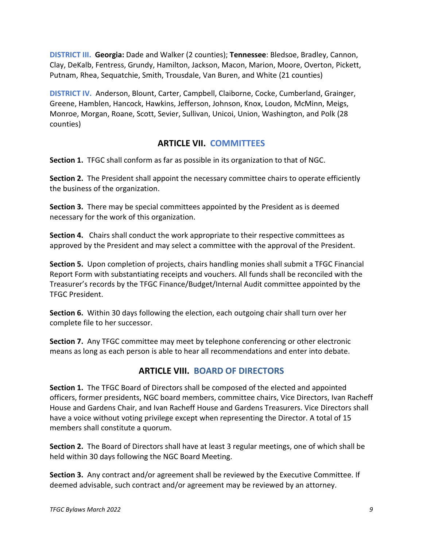**DISTRICT III. Georgia:** Dade and Walker (2 counties); **Tennessee**: Bledsoe, Bradley, Cannon, Clay, DeKalb, Fentress, Grundy, Hamilton, Jackson, Macon, Marion, Moore, Overton, Pickett, Putnam, Rhea, Sequatchie, Smith, Trousdale, Van Buren, and White (21 counties)

**DISTRICT IV.** Anderson, Blount, Carter, Campbell, Claiborne, Cocke, Cumberland, Grainger, Greene, Hamblen, Hancock, Hawkins, Jefferson, Johnson, Knox, Loudon, McMinn, Meigs, Monroe, Morgan, Roane, Scott, Sevier, Sullivan, Unicoi, Union, Washington, and Polk (28 counties)

# **ARTICLE VII. COMMITTEES**

<span id="page-8-0"></span>**Section 1.** TFGC shall conform as far as possible in its organization to that of NGC.

**Section 2.** The President shall appoint the necessary committee chairs to operate efficiently the business of the organization.

**Section 3.** There may be special committees appointed by the President as is deemed necessary for the work of this organization.

**Section 4.** Chairs shall conduct the work appropriate to their respective committees as approved by the President and may select a committee with the approval of the President.

**Section 5.** Upon completion of projects, chairs handling monies shall submit a TFGC Financial Report Form with substantiating receipts and vouchers. All funds shall be reconciled with the Treasurer's records by the TFGC Finance/Budget/Internal Audit committee appointed by the TFGC President.

**Section 6.** Within 30 days following the election, each outgoing chair shall turn over her complete file to her successor.

**Section 7.** Any TFGC committee may meet by telephone conferencing or other electronic means as long as each person is able to hear all recommendations and enter into debate.

# **ARTICLE VIII. BOARD OF DIRECTORS**

<span id="page-8-1"></span>**Section 1.** The TFGC Board of Directors shall be composed of the elected and appointed officers, former presidents, NGC board members, committee chairs, Vice Directors, Ivan Racheff House and Gardens Chair, and Ivan Racheff House and Gardens Treasurers. Vice Directors shall have a voice without voting privilege except when representing the Director. A total of 15 members shall constitute a quorum.

**Section 2.** The Board of Directors shall have at least 3 regular meetings, one of which shall be held within 30 days following the NGC Board Meeting.

**Section 3.** Any contract and/or agreement shall be reviewed by the Executive Committee. If deemed advisable, such contract and/or agreement may be reviewed by an attorney.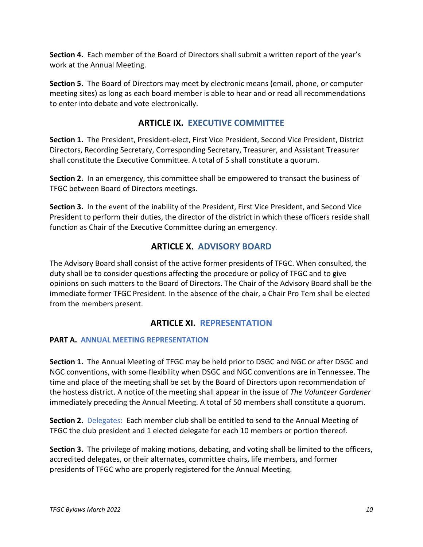**Section 4.** Each member of the Board of Directors shall submit a written report of the year's work at the Annual Meeting.

**Section 5.** The Board of Directors may meet by electronic means (email, phone, or computer meeting sites) as long as each board member is able to hear and or read all recommendations to enter into debate and vote electronically.

# **ARTICLE IX. EXECUTIVE COMMITTEE**

<span id="page-9-0"></span>**Section 1.** The President, President-elect, First Vice President, Second Vice President, District Directors, Recording Secretary, Corresponding Secretary, Treasurer, and Assistant Treasurer shall constitute the Executive Committee. A total of 5 shall constitute a quorum.

**Section 2.** In an emergency, this committee shall be empowered to transact the business of TFGC between Board of Directors meetings.

**Section 3.** In the event of the inability of the President, First Vice President, and Second Vice President to perform their duties, the director of the district in which these officers reside shall function as Chair of the Executive Committee during an emergency.

# **ARTICLE X. ADVISORY BOARD**

<span id="page-9-1"></span>The Advisory Board shall consist of the active former presidents of TFGC. When consulted, the duty shall be to consider questions affecting the procedure or policy of TFGC and to give opinions on such matters to the Board of Directors. The Chair of the Advisory Board shall be the immediate former TFGC President. In the absence of the chair, a Chair Pro Tem shall be elected from the members present.

# **ARTICLE XI. REPRESENTATION**

## <span id="page-9-2"></span>**PART A. ANNUAL MEETING REPRESENTATION**

**Section 1.** The Annual Meeting of TFGC may be held prior to DSGC and NGC or after DSGC and NGC conventions, with some flexibility when DSGC and NGC conventions are in Tennessee. The time and place of the meeting shall be set by the Board of Directors upon recommendation of the hostess district. A notice of the meeting shall appear in the issue of *The Volunteer Gardener* immediately preceding the Annual Meeting. A total of 50 members shall constitute a quorum.

**Section 2.** Delegates: Each member club shall be entitled to send to the Annual Meeting of TFGC the club president and 1 elected delegate for each 10 members or portion thereof.

**Section 3.** The privilege of making motions, debating, and voting shall be limited to the officers, accredited delegates, or their alternates, committee chairs, life members, and former presidents of TFGC who are properly registered for the Annual Meeting.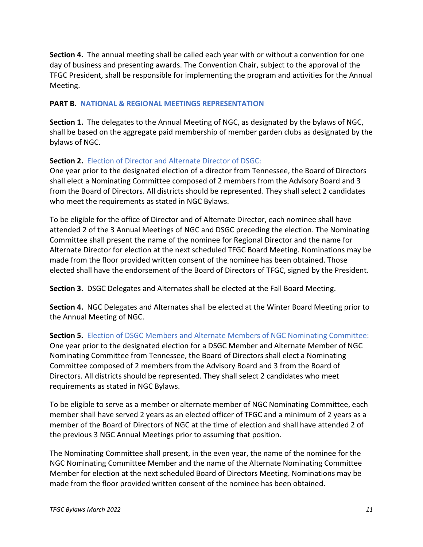**Section 4.** The annual meeting shall be called each year with or without a convention for one day of business and presenting awards. The Convention Chair, subject to the approval of the TFGC President, shall be responsible for implementing the program and activities for the Annual Meeting.

### **PART B. NATIONAL & REGIONAL MEETINGS REPRESENTATION**

**Section 1.** The delegates to the Annual Meeting of NGC, as designated by the bylaws of NGC, shall be based on the aggregate paid membership of member garden clubs as designated by the bylaws of NGC.

## **Section 2.** Election of Director and Alternate Director of DSGC:

One year prior to the designated election of a director from Tennessee, the Board of Directors shall elect a Nominating Committee composed of 2 members from the Advisory Board and 3 from the Board of Directors. All districts should be represented. They shall select 2 candidates who meet the requirements as stated in NGC Bylaws.

To be eligible for the office of Director and of Alternate Director, each nominee shall have attended 2 of the 3 Annual Meetings of NGC and DSGC preceding the election. The Nominating Committee shall present the name of the nominee for Regional Director and the name for Alternate Director for election at the next scheduled TFGC Board Meeting. Nominations may be made from the floor provided written consent of the nominee has been obtained. Those elected shall have the endorsement of the Board of Directors of TFGC, signed by the President.

**Section 3.** DSGC Delegates and Alternates shall be elected at the Fall Board Meeting.

**Section 4.** NGC Delegates and Alternates shall be elected at the Winter Board Meeting prior to the Annual Meeting of NGC.

**Section 5.** Election of DSGC Members and Alternate Members of NGC Nominating Committee: One year prior to the designated election for a DSGC Member and Alternate Member of NGC Nominating Committee from Tennessee, the Board of Directors shall elect a Nominating Committee composed of 2 members from the Advisory Board and 3 from the Board of Directors. All districts should be represented. They shall select 2 candidates who meet requirements as stated in NGC Bylaws.

To be eligible to serve as a member or alternate member of NGC Nominating Committee, each member shall have served 2 years as an elected officer of TFGC and a minimum of 2 years as a member of the Board of Directors of NGC at the time of election and shall have attended 2 of the previous 3 NGC Annual Meetings prior to assuming that position.

The Nominating Committee shall present, in the even year, the name of the nominee for the NGC Nominating Committee Member and the name of the Alternate Nominating Committee Member for election at the next scheduled Board of Directors Meeting. Nominations may be made from the floor provided written consent of the nominee has been obtained.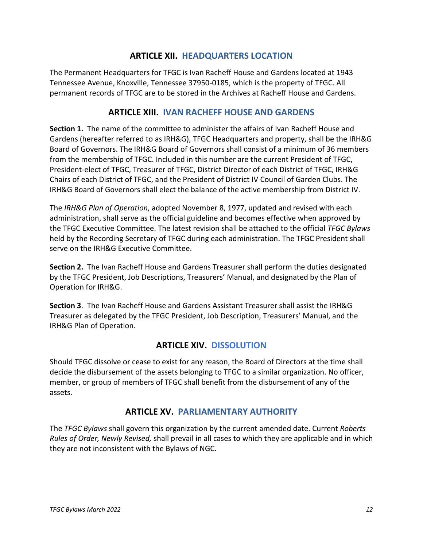## **ARTICLE XII. HEADQUARTERS LOCATION**

<span id="page-11-0"></span>The Permanent Headquarters for TFGC is Ivan Racheff House and Gardens located at 1943 Tennessee Avenue, Knoxville, Tennessee 37950-0185, which is the property of TFGC. All permanent records of TFGC are to be stored in the Archives at Racheff House and Gardens.

## **ARTICLE XIII. IVAN RACHEFF HOUSE AND GARDENS**

<span id="page-11-1"></span>**Section 1.** The name of the committee to administer the affairs of Ivan Racheff House and Gardens (hereafter referred to as IRH&G), TFGC Headquarters and property, shall be the IRH&G Board of Governors. The IRH&G Board of Governors shall consist of a minimum of 36 members from the membership of TFGC. Included in this number are the current President of TFGC, President-elect of TFGC, Treasurer of TFGC, District Director of each District of TFGC, IRH&G Chairs of each District of TFGC, and the President of District IV Council of Garden Clubs. The IRH&G Board of Governors shall elect the balance of the active membership from District IV.

The *IRH&G Plan of Operation*, adopted November 8, 1977, updated and revised with each administration, shall serve as the official guideline and becomes effective when approved by the TFGC Executive Committee. The latest revision shall be attached to the official *TFGC Bylaws* held by the Recording Secretary of TFGC during each administration. The TFGC President shall serve on the IRH&G Executive Committee.

**Section 2.** The Ivan Racheff House and Gardens Treasurer shall perform the duties designated by the TFGC President, Job Descriptions, Treasurers' Manual, and designated by the Plan of Operation for IRH&G.

**Section 3**. The Ivan Racheff House and Gardens Assistant Treasurer shall assist the IRH&G Treasurer as delegated by the TFGC President, Job Description, Treasurers' Manual, and the IRH&G Plan of Operation.

## **ARTICLE XIV. DISSOLUTION**

<span id="page-11-2"></span>Should TFGC dissolve or cease to exist for any reason, the Board of Directors at the time shall decide the disbursement of the assets belonging to TFGC to a similar organization. No officer, member, or group of members of TFGC shall benefit from the disbursement of any of the assets.

## **ARTICLE XV. PARLIAMENTARY AUTHORITY**

<span id="page-11-3"></span>The *TFGC Bylaws* shall govern this organization by the current amended date. Current *Roberts Rules of Order, Newly Revised,* shall prevail in all cases to which they are applicable and in which they are not inconsistent with the Bylaws of NGC.